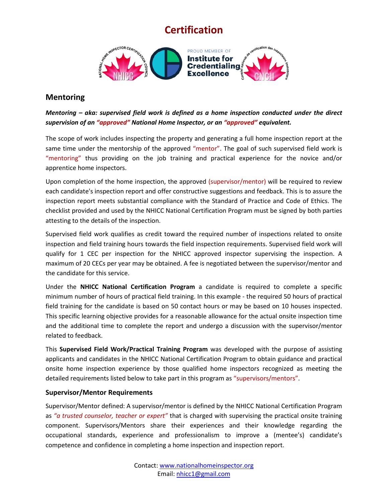

### **Mentoring**

*Mentoring – aka: supervised field work is defined as a home inspection conducted under the direct supervision of an "approved" National Home Inspector, or an "approved" equivalent.*

The scope of work includes inspecting the property and generating a full home inspection report at the same time under the mentorship of the approved "mentor". The goal of such supervised field work is "mentoring" thus providing on the job training and practical experience for the novice and/or apprentice home inspectors.

Upon completion of the home inspection, the approved (supervisor/mentor) will be required to review each candidate's inspection report and offer constructive suggestions and feedback. This is to assure the inspection report meets substantial compliance with the Standard of Practice and Code of Ethics. The checklist provided and used by the NHICC National Certification Program must be signed by both parties attesting to the details of the inspection.

Supervised field work qualifies as credit toward the required number of inspections related to onsite inspection and field training hours towards the field inspection requirements. Supervised field work will qualify for 1 CEC per inspection for the NHICC approved inspector supervising the inspection. A maximum of 20 CECs per year may be obtained. A fee is negotiated between the supervisor/mentor and the candidate for this service.

Under the **NHICC National Certification Program** a candidate is required to complete a specific minimum number of hours of practical field training. In this example - the required 50 hours of practical field training for the candidate is based on 50 contact hours or may be based on 10 houses inspected. This specific learning objective provides for a reasonable allowance for the actual onsite inspection time and the additional time to complete the report and undergo a discussion with the supervisor/mentor related to feedback.

This **Supervised Field Work/Practical Training Program** was developed with the purpose of assisting applicants and candidates in the NHICC National Certification Program to obtain guidance and practical onsite home inspection experience by those qualified home inspectors recognized as meeting the detailed requirements listed below to take part in this program as "supervisors/mentors".

### **Supervisor/Mentor Requirements**

Supervisor/Mentor defined: A supervisor/mentor is defined by the NHICC National Certification Program as *"a trusted counselor, teacher or expert"* that is charged with supervising the practical onsite training component. Supervisors/Mentors share their experiences and their knowledge regarding the occupational standards, experience and professionalism to improve a (mentee's) candidate's competence and confidence in completing a home inspection and inspection report.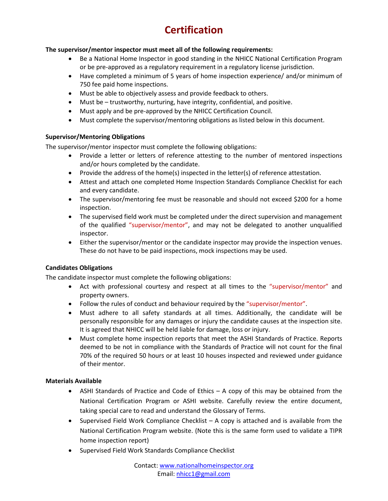### **The supervisor/mentor inspector must meet all of the following requirements:**

- Be a National Home Inspector in good standing in the NHICC National Certification Program or be pre-approved as a regulatory requirement in a regulatory license jurisdiction.
- Have completed a minimum of 5 years of home inspection experience/ and/or minimum of 750 fee paid home inspections.
- Must be able to objectively assess and provide feedback to others.
- Must be trustworthy, nurturing, have integrity, confidential, and positive.
- Must apply and be pre-approved by the NHICC Certification Council.
- Must complete the supervisor/mentoring obligations as listed below in this document.

### **Supervisor/Mentoring Obligations**

The supervisor/mentor inspector must complete the following obligations:

- Provide a letter or letters of reference attesting to the number of mentored inspections and/or hours completed by the candidate.
- Provide the address of the home(s) inspected in the letter(s) of reference attestation.
- Attest and attach one completed Home Inspection Standards Compliance Checklist for each and every candidate.
- The supervisor/mentoring fee must be reasonable and should not exceed \$200 for a home inspection.
- The supervised field work must be completed under the direct supervision and management of the qualified "supervisor/mentor", and may not be delegated to another unqualified inspector.
- Either the supervisor/mentor or the candidate inspector may provide the inspection venues. These do not have to be paid inspections, mock inspections may be used.

### **Candidates Obligations**

The candidate inspector must complete the following obligations:

- Act with professional courtesy and respect at all times to the "supervisor/mentor" and property owners.
- Follow the rules of conduct and behaviour required by the "supervisor/mentor".
- Must adhere to all safety standards at all times. Additionally, the candidate will be personally responsible for any damages or injury the candidate causes at the inspection site. It is agreed that NHICC will be held liable for damage, loss or injury.
- Must complete home inspection reports that meet the ASHI Standards of Practice. Reports deemed to be not in compliance with the Standards of Practice will not count for the final 70% of the required 50 hours or at least 10 houses inspected and reviewed under guidance of their mentor.

#### **Materials Available**

- ASHI Standards of Practice and Code of Ethics A copy of this may be obtained from the National Certification Program or ASHI website. Carefully review the entire document, taking special care to read and understand the Glossary of Terms.
- Supervised Field Work Compliance Checklist A copy is attached and is available from the National Certification Program website. (Note this is the same form used to validate a TIPR home inspection report)
- Supervised Field Work Standards Compliance Checklist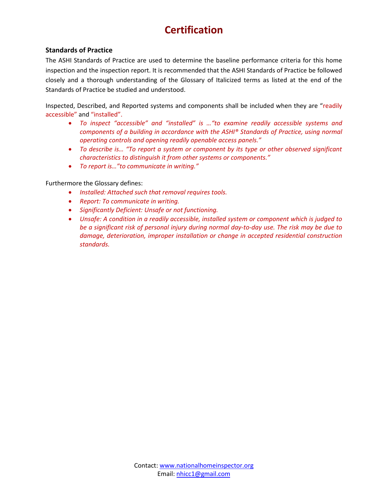### **Standards of Practice**

The ASHI Standards of Practice are used to determine the baseline performance criteria for this home inspection and the inspection report. It is recommended that the ASHI Standards of Practice be followed closely and a thorough understanding of the Glossary of Italicized terms as listed at the end of the Standards of Practice be studied and understood.

Inspected, Described, and Reported systems and components shall be included when they are "readily accessible" and "installed".

- *To inspect "accessible" and "installed" is …"to examine readily accessible systems and components of a building in accordance with the ASHI® Standards of Practice, using normal operating controls and opening readily openable access panels."*
- *To describe is… "To report a system or component by its type or other observed significant characteristics to distinguish it from other systems or components."*
- *To report is…"to communicate in writing."*

### Furthermore the Glossary defines:

- *Installed: Attached such that removal requires tools.*
- *Report: To communicate in writing.*
- *Significantly Deficient: Unsafe or not functioning.*
- *Unsafe: A condition in a readily accessible, installed system or component which is judged to be a significant risk of personal injury during normal day-to-day use. The risk may be due to damage, deterioration, improper installation or change in accepted residential construction standards.*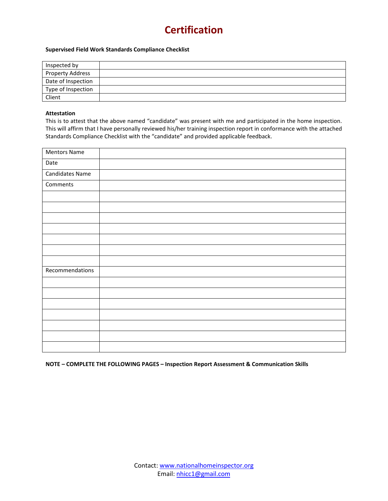#### **Supervised Field Work Standards Compliance Checklist**

| Inspected by            |  |
|-------------------------|--|
| <b>Property Address</b> |  |
| Date of Inspection      |  |
| Type of Inspection      |  |
| Client                  |  |

#### **Attestation**

This is to attest that the above named "candidate" was present with me and participated in the home inspection. This will affirm that I have personally reviewed his/her training inspection report in conformance with the attached Standards Compliance Checklist with the "candidate" and provided applicable feedback.

| <b>Mentors Name</b>    |  |
|------------------------|--|
| Date                   |  |
| <b>Candidates Name</b> |  |
| Comments               |  |
|                        |  |
|                        |  |
|                        |  |
|                        |  |
|                        |  |
|                        |  |
|                        |  |
| Recommendations        |  |
|                        |  |
|                        |  |
|                        |  |
|                        |  |
|                        |  |
|                        |  |
|                        |  |

**NOTE – COMPLETE THE FOLLOWING PAGES – Inspection Report Assessment & Communication Skills**